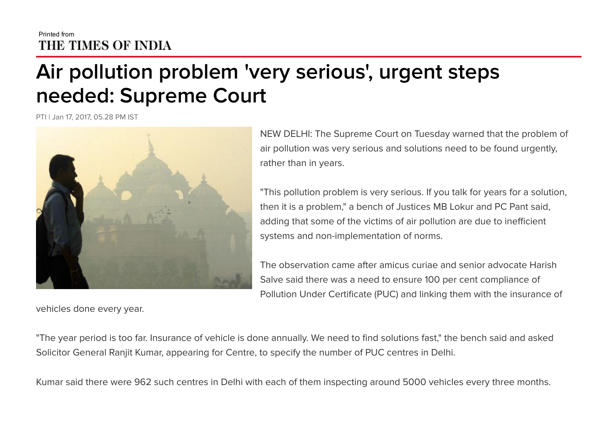## Air pollution problem 'very serious' , urgent steps needed: Supreme Court

PTI | Jan 17, 2017, 05.28 PM IST



vehicles done every year.

NEW DELHI: The Supreme Court on Tuesday warned that the problem of air pollution was very serious and solutions need to be found urgently, rather than in years.

"This pollution problem is very serious. If you talk for years for a solution, then it is a problem," a bench of Justices MB Lokur and PC Pant said, adding that some of the victims of air pollution are due to inefficient systems and non-implementation of norms.

The observation came after amicus curiae and senior advocate Harish Salve said there was a need to ensure 100 per cent compliance of Pollution Under Certificate (PUC) and linking them with the insurance of

"The year period is too far. Insurance of vehicle is done annually. We need to find solutions fast," the bench said and asked Solicitor General Ranjit Kumar, appearing for Centre, to specify the number of PUC centres in Delhi.

Kumar said there were 962 such centres in Delhi with each of them inspecting around 5000 vehicles every three months.